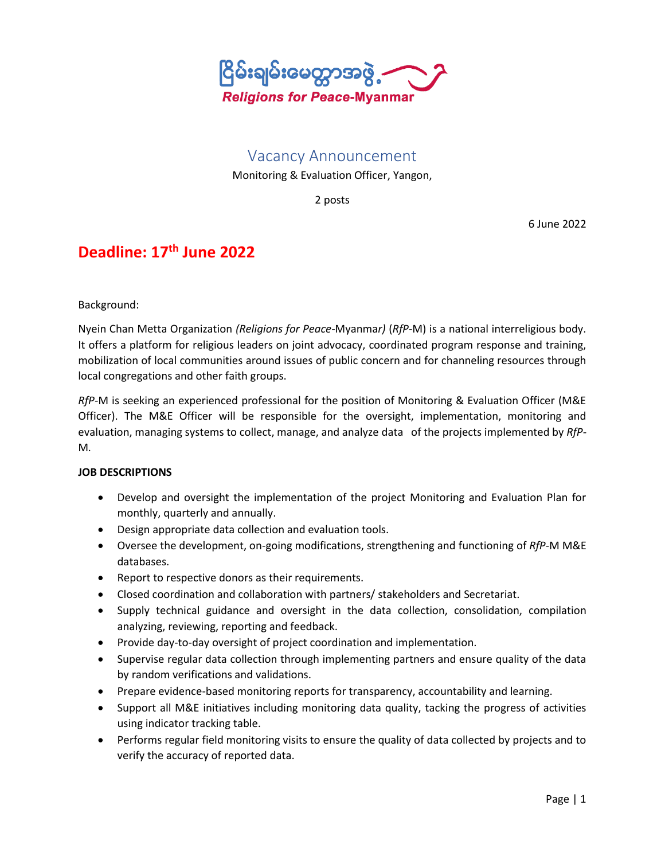

## Vacancy Announcement

Monitoring & Evaluation Officer, Yangon,

2 posts

6 June 2022

# **Deadline: 17th June 2022**

#### Background:

Nyein Chan Metta Organization *(Religions for Peace-*Myanma*r)* (*RfP*-M) is a national interreligious body. It offers a platform for religious leaders on joint advocacy, coordinated program response and training, mobilization of local communities around issues of public concern and for channeling resources through local congregations and other faith groups.

*RfP*-M is seeking an experienced professional for the position of Monitoring & Evaluation Officer (M&E Officer). The M&E Officer will be responsible for the oversight, implementation, monitoring and evaluation, managing systems to collect, manage, and analyze data of the projects implemented by *RfP-*M*.* 

### **JOB DESCRIPTIONS**

- Develop and oversight the implementation of the project Monitoring and Evaluation Plan for monthly, quarterly and annually.
- Design appropriate data collection and evaluation tools.
- Oversee the development, on-going modifications, strengthening and functioning of *RfP*-M M&E databases.
- Report to respective donors as their requirements.
- Closed coordination and collaboration with partners/ stakeholders and Secretariat.
- Supply technical guidance and oversight in the data collection, consolidation, compilation analyzing, reviewing, reporting and feedback.
- Provide day-to-day oversight of project coordination and implementation.
- Supervise regular data collection through implementing partners and ensure quality of the data by random verifications and validations.
- Prepare evidence-based monitoring reports for transparency, accountability and learning.
- Support all M&E initiatives including monitoring data quality, tacking the progress of activities using indicator tracking table.
- Performs regular field monitoring visits to ensure the quality of data collected by projects and to verify the accuracy of reported data.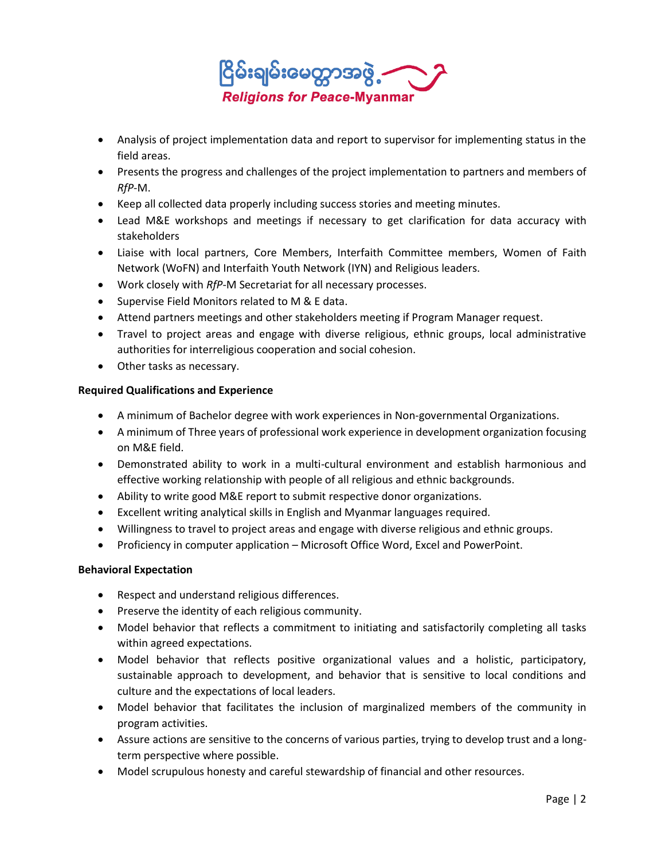

- Analysis of project implementation data and report to supervisor for implementing status in the field areas.
- Presents the progress and challenges of the project implementation to partners and members of *RfP*-M.
- Keep all collected data properly including success stories and meeting minutes.
- Lead M&E workshops and meetings if necessary to get clarification for data accuracy with stakeholders
- Liaise with local partners, Core Members, Interfaith Committee members, Women of Faith Network (WoFN) and Interfaith Youth Network (IYN) and Religious leaders.
- Work closely with *RfP*-M Secretariat for all necessary processes.
- Supervise Field Monitors related to M & E data.
- Attend partners meetings and other stakeholders meeting if Program Manager request.
- Travel to project areas and engage with diverse religious, ethnic groups, local administrative authorities for interreligious cooperation and social cohesion.
- Other tasks as necessary.

#### **Required Qualifications and Experience**

- A minimum of Bachelor degree with work experiences in Non-governmental Organizations.
- A minimum of Three years of professional work experience in development organization focusing on M&E field.
- Demonstrated ability to work in a multi-cultural environment and establish harmonious and effective working relationship with people of all religious and ethnic backgrounds.
- Ability to write good M&E report to submit respective donor organizations.
- Excellent writing analytical skills in English and Myanmar languages required.
- Willingness to travel to project areas and engage with diverse religious and ethnic groups.
- Proficiency in computer application Microsoft Office Word, Excel and PowerPoint.

#### **Behavioral Expectation**

- Respect and understand religious differences.
- Preserve the identity of each religious community.
- Model behavior that reflects a commitment to initiating and satisfactorily completing all tasks within agreed expectations.
- Model behavior that reflects positive organizational values and a holistic, participatory, sustainable approach to development, and behavior that is sensitive to local conditions and culture and the expectations of local leaders.
- Model behavior that facilitates the inclusion of marginalized members of the community in program activities.
- Assure actions are sensitive to the concerns of various parties, trying to develop trust and a longterm perspective where possible.
- Model scrupulous honesty and careful stewardship of financial and other resources.